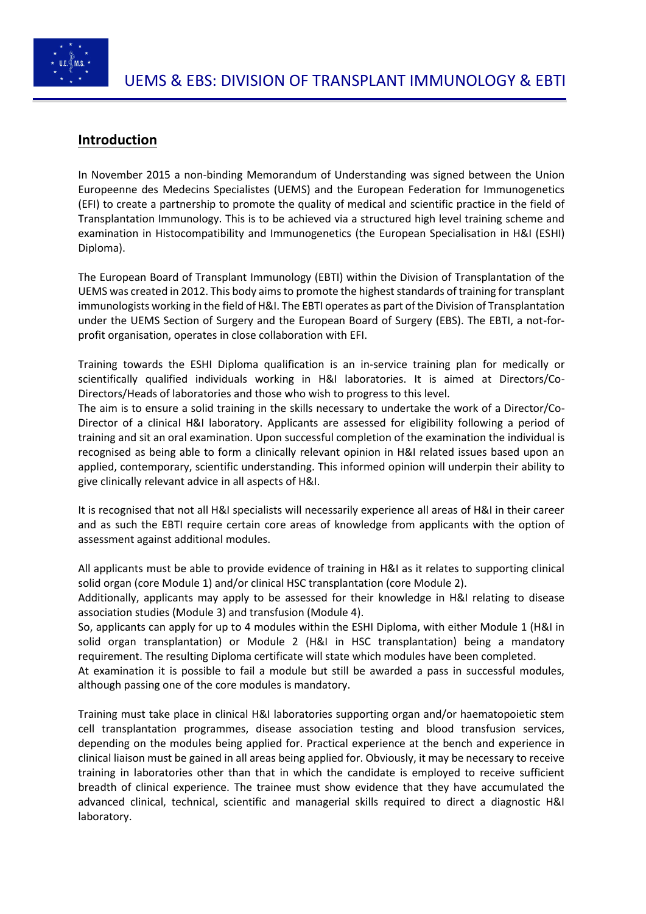

# **Introduction**

In November 2015 a non-binding Memorandum of Understanding was signed between the Union Europeenne des Medecins Specialistes (UEMS) and the European Federation for Immunogenetics (EFI) to create a partnership to promote the quality of medical and scientific practice in the field of Transplantation Immunology. This is to be achieved via a structured high level training scheme and examination in Histocompatibility and Immunogenetics (the European Specialisation in H&I (ESHI) Diploma).

The European Board of Transplant Immunology (EBTI) within the Division of Transplantation of the UEMS was created in 2012. This body aims to promote the highest standards of training for transplant immunologists working in the field of H&I. The EBTI operates as part of the Division of Transplantation under the UEMS Section of Surgery and the European Board of Surgery (EBS). The EBTI, a not-forprofit organisation, operates in close collaboration with EFI.

Training towards the ESHI Diploma qualification is an in-service training plan for medically or scientifically qualified individuals working in H&I laboratories. It is aimed at Directors/Co-Directors/Heads of laboratories and those who wish to progress to this level.

The aim is to ensure a solid training in the skills necessary to undertake the work of a Director/Co-Director of a clinical H&I laboratory. Applicants are assessed for eligibility following a period of training and sit an oral examination. Upon successful completion of the examination the individual is recognised as being able to form a clinically relevant opinion in H&I related issues based upon an applied, contemporary, scientific understanding. This informed opinion will underpin their ability to give clinically relevant advice in all aspects of H&I.

It is recognised that not all H&I specialists will necessarily experience all areas of H&I in their career and as such the EBTI require certain core areas of knowledge from applicants with the option of assessment against additional modules.

All applicants must be able to provide evidence of training in H&I as it relates to supporting clinical solid organ (core Module 1) and/or clinical HSC transplantation (core Module 2).

Additionally, applicants may apply to be assessed for their knowledge in H&I relating to disease association studies (Module 3) and transfusion (Module 4).

So, applicants can apply for up to 4 modules within the ESHI Diploma, with either Module 1 (H&I in solid organ transplantation) or Module 2 (H&I in HSC transplantation) being a mandatory requirement. The resulting Diploma certificate will state which modules have been completed.

At examination it is possible to fail a module but still be awarded a pass in successful modules, although passing one of the core modules is mandatory.

Training must take place in clinical H&I laboratories supporting organ and/or haematopoietic stem cell transplantation programmes, disease association testing and blood transfusion services, depending on the modules being applied for. Practical experience at the bench and experience in clinical liaison must be gained in all areas being applied for. Obviously, it may be necessary to receive training in laboratories other than that in which the candidate is employed to receive sufficient breadth of clinical experience. The trainee must show evidence that they have accumulated the advanced clinical, technical, scientific and managerial skills required to direct a diagnostic H&I laboratory.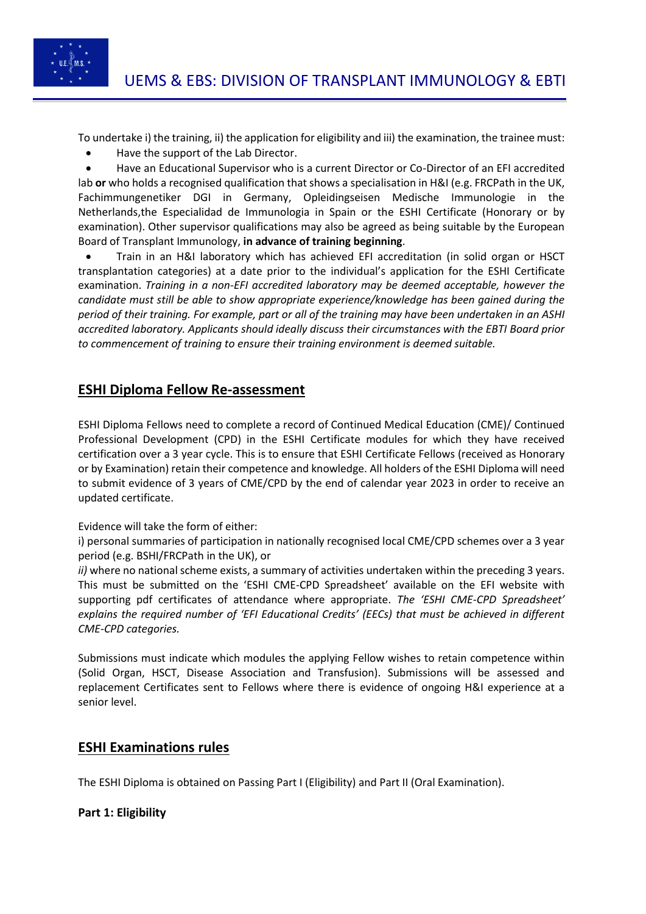

To undertake i) the training, ii) the application for eligibility and iii) the examination, the trainee must:

• Have the support of the Lab Director.

• Have an Educational Supervisor who is a current Director or Co-Director of an EFI accredited lab **or** who holds a recognised qualification that shows a specialisation in H&I (e.g. FRCPath in the UK, Fachimmungenetiker DGI in Germany, Opleidingseisen Medische Immunologie in the Netherlands,the Especialidad de Immunologia in Spain or the ESHI Certificate (Honorary or by examination). Other supervisor qualifications may also be agreed as being suitable by the European Board of Transplant Immunology, **in advance of training beginning**.

• Train in an H&I laboratory which has achieved EFI accreditation (in solid organ or HSCT transplantation categories) at a date prior to the individual's application for the ESHI Certificate examination. *Training in a non-EFI accredited laboratory may be deemed acceptable, however the candidate must still be able to show appropriate experience/knowledge has been gained during the period of their training. For example, part or all of the training may have been undertaken in an ASHI accredited laboratory. Applicants should ideally discuss their circumstances with the EBTI Board prior to commencement of training to ensure their training environment is deemed suitable.* 

# **ESHI Diploma Fellow Re-assessment**

ESHI Diploma Fellows need to complete a record of Continued Medical Education (CME)/ Continued Professional Development (CPD) in the ESHI Certificate modules for which they have received certification over a 3 year cycle. This is to ensure that ESHI Certificate Fellows (received as Honorary or by Examination) retain their competence and knowledge. All holders of the ESHI Diploma will need to submit evidence of 3 years of CME/CPD by the end of calendar year 2023 in order to receive an updated certificate.

Evidence will take the form of either:

i) personal summaries of participation in nationally recognised local CME/CPD schemes over a 3 year period (e.g. BSHI/FRCPath in the UK), or

*ii*) where no national scheme exists, a summary of activities undertaken within the preceding 3 years. This must be submitted on the 'ESHI CME-CPD Spreadsheet' available on the EFI website with supporting pdf certificates of attendance where appropriate. *The 'ESHI CME-CPD Spreadsheet' explains the required number of 'EFI Educational Credits' (EECs) that must be achieved in different CME-CPD categories.* 

Submissions must indicate which modules the applying Fellow wishes to retain competence within (Solid Organ, HSCT, Disease Association and Transfusion). Submissions will be assessed and replacement Certificates sent to Fellows where there is evidence of ongoing H&I experience at a senior level.

## **ESHI Examinations rules**

The ESHI Diploma is obtained on Passing Part I (Eligibility) and Part II (Oral Examination).

### **Part 1: Eligibility**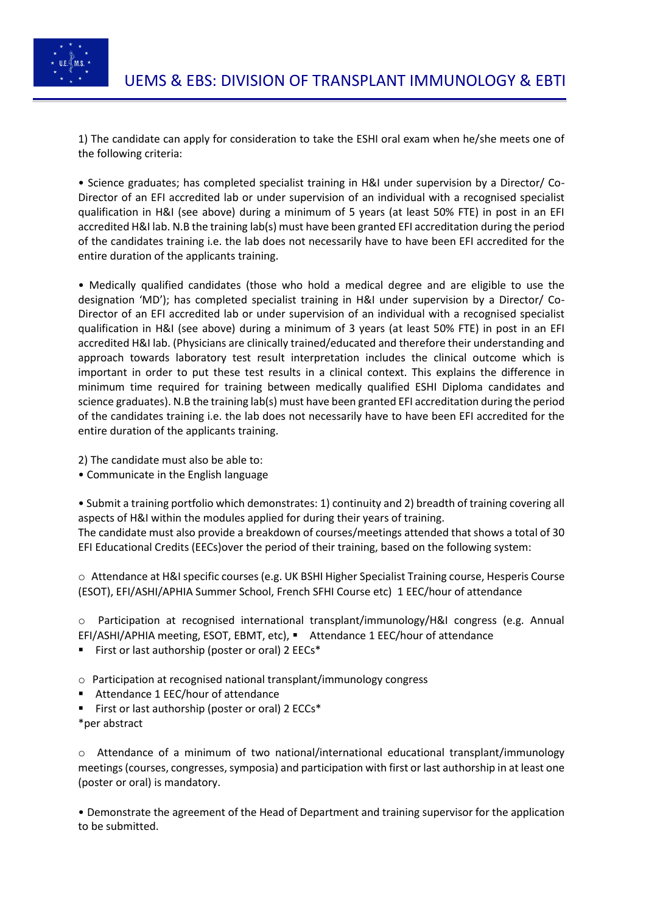

1) The candidate can apply for consideration to take the ESHI oral exam when he/she meets one of the following criteria:

• Science graduates; has completed specialist training in H&I under supervision by a Director/ Co-Director of an EFI accredited lab or under supervision of an individual with a recognised specialist qualification in H&I (see above) during a minimum of 5 years (at least 50% FTE) in post in an EFI accredited H&I lab. N.B the training lab(s) must have been granted EFI accreditation during the period of the candidates training i.e. the lab does not necessarily have to have been EFI accredited for the entire duration of the applicants training.

• Medically qualified candidates (those who hold a medical degree and are eligible to use the designation 'MD'); has completed specialist training in H&I under supervision by a Director/ Co-Director of an EFI accredited lab or under supervision of an individual with a recognised specialist qualification in H&I (see above) during a minimum of 3 years (at least 50% FTE) in post in an EFI accredited H&I lab. (Physicians are clinically trained/educated and therefore their understanding and approach towards laboratory test result interpretation includes the clinical outcome which is important in order to put these test results in a clinical context. This explains the difference in minimum time required for training between medically qualified ESHI Diploma candidates and science graduates). N.B the training lab(s) must have been granted EFI accreditation during the period of the candidates training i.e. the lab does not necessarily have to have been EFI accredited for the entire duration of the applicants training.

2) The candidate must also be able to:

• Communicate in the English language

• Submit a training portfolio which demonstrates: 1) continuity and 2) breadth of training covering all aspects of H&I within the modules applied for during their years of training. The candidate must also provide a breakdown of courses/meetings attended that shows a total of 30 EFI Educational Credits (EECs)over the period of their training, based on the following system:

o Attendance at H&I specific courses (e.g. UK BSHI Higher Specialist Training course, Hesperis Course (ESOT), EFI/ASHI/APHIA Summer School, French SFHI Course etc) 1 EEC/hour of attendance

o Participation at recognised international transplant/immunology/H&I congress (e.g. Annual EFI/ASHI/APHIA meeting, ESOT, EBMT, etc), ▪ Attendance 1 EEC/hour of attendance

- First or last authorship (poster or oral) 2 EECs\*
- o Participation at recognised national transplant/immunology congress
- Attendance 1 EEC/hour of attendance
- First or last authorship (poster or oral) 2 ECCs<sup>\*</sup> \*per abstract

 $\circ$  Attendance of a minimum of two national/international educational transplant/immunology meetings (courses, congresses, symposia) and participation with first or last authorship in at least one (poster or oral) is mandatory.

• Demonstrate the agreement of the Head of Department and training supervisor for the application to be submitted.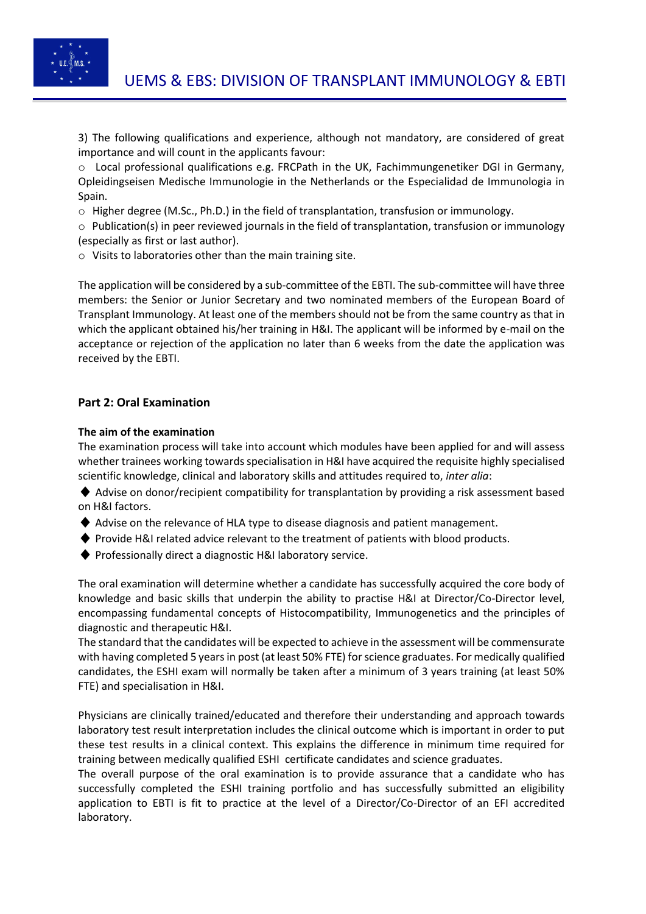

3) The following qualifications and experience, although not mandatory, are considered of great importance and will count in the applicants favour:

o Local professional qualifications e.g. FRCPath in the UK, Fachimmungenetiker DGI in Germany, Opleidingseisen Medische Immunologie in the Netherlands or the Especialidad de Immunologia in Spain.

o Higher degree (M.Sc., Ph.D.) in the field of transplantation, transfusion or immunology.

o Publication(s) in peer reviewed journals in the field of transplantation, transfusion or immunology (especially as first or last author).

o Visits to laboratories other than the main training site.

The application will be considered by a sub-committee of the EBTI. The sub-committee will have three members: the Senior or Junior Secretary and two nominated members of the European Board of Transplant Immunology. At least one of the members should not be from the same country as that in which the applicant obtained his/her training in H&I. The applicant will be informed by e-mail on the acceptance or rejection of the application no later than 6 weeks from the date the application was received by the EBTI.

### **Part 2: Oral Examination**

### **The aim of the examination**

The examination process will take into account which modules have been applied for and will assess whether trainees working towards specialisation in H&I have acquired the requisite highly specialised scientific knowledge, clinical and laboratory skills and attitudes required to, *inter alia*:

♦ Advise on donor/recipient compatibility for transplantation by providing a risk assessment based on H&I factors.

- ♦ Advise on the relevance of HLA type to disease diagnosis and patient management.
- ♦ Provide H&I related advice relevant to the treatment of patients with blood products.
- ♦ Professionally direct a diagnostic H&I laboratory service.

The oral examination will determine whether a candidate has successfully acquired the core body of knowledge and basic skills that underpin the ability to practise H&I at Director/Co-Director level, encompassing fundamental concepts of Histocompatibility, Immunogenetics and the principles of diagnostic and therapeutic H&I.

The standard that the candidates will be expected to achieve in the assessment will be commensurate with having completed 5 years in post (at least 50% FTE) for science graduates. For medically qualified candidates, the ESHI exam will normally be taken after a minimum of 3 years training (at least 50% FTE) and specialisation in H&I.

Physicians are clinically trained/educated and therefore their understanding and approach towards laboratory test result interpretation includes the clinical outcome which is important in order to put these test results in a clinical context. This explains the difference in minimum time required for training between medically qualified ESHI certificate candidates and science graduates.

The overall purpose of the oral examination is to provide assurance that a candidate who has successfully completed the ESHI training portfolio and has successfully submitted an eligibility application to EBTI is fit to practice at the level of a Director/Co-Director of an EFI accredited laboratory.